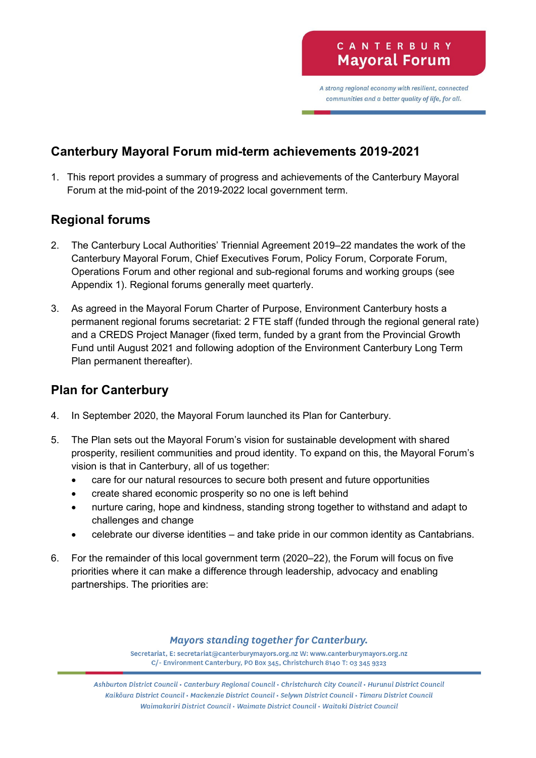A strong regional economy with resilient, connected communities and a better quality of life, for all.

# **Canterbury Mayoral Forum mid-term achievements 2019-2021**

1. This report provides a summary of progress and achievements of the Canterbury Mayoral Forum at the mid-point of the 2019-2022 local government term.

## **Regional forums**

- 2. The Canterbury Local Authorities' Triennial Agreement 2019–22 mandates the work of the Canterbury Mayoral Forum, Chief Executives Forum, Policy Forum, Corporate Forum, Operations Forum and other regional and sub-regional forums and working groups (see Appendix 1). Regional forums generally meet quarterly.
- 3. As agreed in the Mayoral Forum Charter of Purpose, Environment Canterbury hosts a permanent regional forums secretariat: 2 FTE staff (funded through the regional general rate) and a CREDS Project Manager (fixed term, funded by a grant from the Provincial Growth Fund until August 2021 and following adoption of the Environment Canterbury Long Term Plan permanent thereafter).

# **Plan for Canterbury**

- 4. In September 2020, the Mayoral Forum launched its Plan for Canterbury.
- 5. The Plan sets out the Mayoral Forum's vision for sustainable development with shared prosperity, resilient communities and proud identity. To expand on this, the Mayoral Forum's vision is that in Canterbury, all of us together:
	- care for our natural resources to secure both present and future opportunities
	- create shared economic prosperity so no one is left behind
	- nurture caring, hope and kindness, standing strong together to withstand and adapt to challenges and change
	- celebrate our diverse identities and take pride in our common identity as Cantabrians.
- 6. For the remainder of this local government term (2020–22), the Forum will focus on five priorities where it can make a difference through leadership, advocacy and enabling partnerships. The priorities are:

### **Mayors standing together for Canterbury.**

Secretariat, E: secretariat@canterburymayors.org.nz W: www.canterburymayors.org.nz C/- Environment Canterbury, PO Box 345, Christchurch 8140 T: 03 345 9323

Ashburton District Council · Canterbury Regional Council · Christchurch City Council · Hurunui District Council Kaikoura District Council · Mackenzie District Council · Selywn District Council · Timaru District Council Waimakariri District Council • Waimate District Council • Waitaki District Council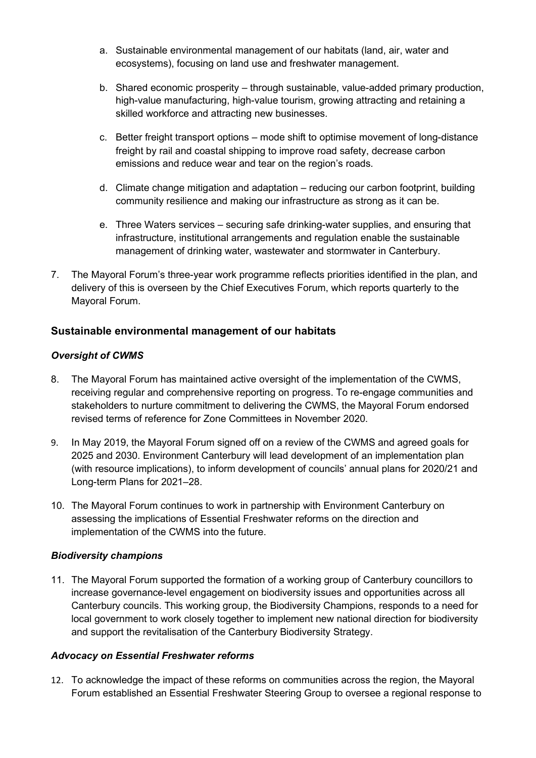- a. Sustainable environmental management of our habitats (land, air, water and ecosystems), focusing on land use and freshwater management.
- b. Shared economic prosperity through sustainable, value-added primary production, high-value manufacturing, high-value tourism, growing attracting and retaining a skilled workforce and attracting new businesses.
- c. Better freight transport options mode shift to optimise movement of long-distance freight by rail and coastal shipping to improve road safety, decrease carbon emissions and reduce wear and tear on the region's roads.
- d. Climate change mitigation and adaptation reducing our carbon footprint, building community resilience and making our infrastructure as strong as it can be.
- e. Three Waters services securing safe drinking-water supplies, and ensuring that infrastructure, institutional arrangements and regulation enable the sustainable management of drinking water, wastewater and stormwater in Canterbury.
- 7. The Mayoral Forum's three-year work programme reflects priorities identified in the plan, and delivery of this is overseen by the Chief Executives Forum, which reports quarterly to the Mayoral Forum.

### **Sustainable environmental management of our habitats**

### *Oversight of CWMS*

- 8. The Mayoral Forum has maintained active oversight of the implementation of the CWMS, receiving regular and comprehensive reporting on progress. To re-engage communities and stakeholders to nurture commitment to delivering the CWMS, the Mayoral Forum endorsed revised terms of reference for Zone Committees in November 2020.
- 9. In May 2019, the Mayoral Forum signed off on a review of the CWMS and agreed goals for 2025 and 2030. Environment Canterbury will lead development of an implementation plan (with resource implications), to inform development of councils' annual plans for 2020/21 and Long-term Plans for 2021–28.
- 10. The Mayoral Forum continues to work in partnership with Environment Canterbury on assessing the implications of Essential Freshwater reforms on the direction and implementation of the CWMS into the future.

### *Biodiversity champions*

11. The Mayoral Forum supported the formation of a working group of Canterbury councillors to increase governance-level engagement on biodiversity issues and opportunities across all Canterbury councils. This working group, the Biodiversity Champions, responds to a need for local government to work closely together to implement new national direction for biodiversity and support the revitalisation of the Canterbury Biodiversity Strategy.

### *Advocacy on Essential Freshwater reforms*

12. To acknowledge the impact of these reforms on communities across the region, the Mayoral Forum established an Essential Freshwater Steering Group to oversee a regional response to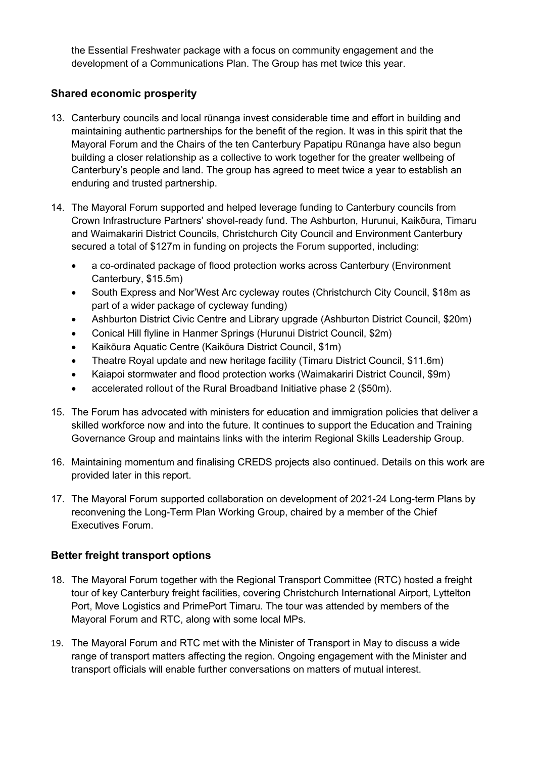the Essential Freshwater package with a focus on community engagement and the development of a Communications Plan. The Group has met twice this year.

### **Shared economic prosperity**

- 13. Canterbury councils and local rūnanga invest considerable time and effort in building and maintaining authentic partnerships for the benefit of the region. It was in this spirit that the Mayoral Forum and the Chairs of the ten Canterbury Papatipu Rūnanga have also begun building a closer relationship as a collective to work together for the greater wellbeing of Canterbury's people and land. The group has agreed to meet twice a year to establish an enduring and trusted partnership.
- 14. The Mayoral Forum supported and helped leverage funding to Canterbury councils from Crown Infrastructure Partners' shovel-ready fund. The Ashburton, Hurunui, Kaikōura, Timaru and Waimakariri District Councils, Christchurch City Council and Environment Canterbury secured a total of \$127m in funding on projects the Forum supported, including:
	- a co-ordinated package of flood protection works across Canterbury (Environment Canterbury, \$15.5m)
	- South Express and Nor'West Arc cycleway routes (Christchurch City Council, \$18m as part of a wider package of cycleway funding)
	- Ashburton District Civic Centre and Library upgrade (Ashburton District Council, \$20m)
	- Conical Hill flyline in Hanmer Springs (Hurunui District Council, \$2m)
	- Kaikōura Aquatic Centre (Kaikōura District Council, \$1m)
	- Theatre Royal update and new heritage facility (Timaru District Council, \$11.6m)
	- Kaiapoi stormwater and flood protection works (Waimakariri District Council, \$9m)
	- accelerated rollout of the Rural Broadband Initiative phase 2 (\$50m).
- 15. The Forum has advocated with ministers for education and immigration policies that deliver a skilled workforce now and into the future. It continues to support the Education and Training Governance Group and maintains links with the interim Regional Skills Leadership Group.
- 16. Maintaining momentum and finalising CREDS projects also continued. Details on this work are provided later in this report.
- 17. The Mayoral Forum supported collaboration on development of 2021-24 Long-term Plans by reconvening the Long-Term Plan Working Group, chaired by a member of the Chief Executives Forum.

### **Better freight transport options**

- 18. The Mayoral Forum together with the Regional Transport Committee (RTC) hosted a freight tour of key Canterbury freight facilities, covering Christchurch International Airport, Lyttelton Port, Move Logistics and PrimePort Timaru. The tour was attended by members of the Mayoral Forum and RTC, along with some local MPs.
- 19. The Mayoral Forum and RTC met with the Minister of Transport in May to discuss a wide range of transport matters affecting the region. Ongoing engagement with the Minister and transport officials will enable further conversations on matters of mutual interest.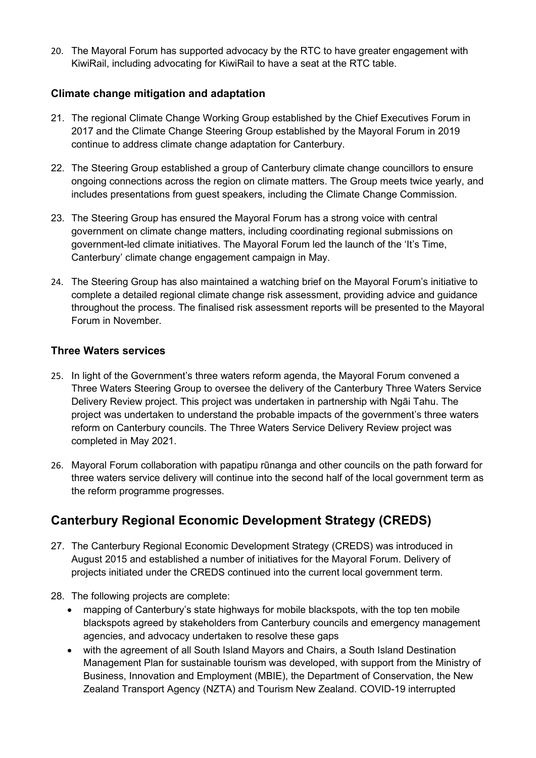20. The Mayoral Forum has supported advocacy by the RTC to have greater engagement with KiwiRail, including advocating for KiwiRail to have a seat at the RTC table.

### **Climate change mitigation and adaptation**

- 21. The regional Climate Change Working Group established by the Chief Executives Forum in 2017 and the Climate Change Steering Group established by the Mayoral Forum in 2019 continue to address climate change adaptation for Canterbury.
- 22. The Steering Group established a group of Canterbury climate change councillors to ensure ongoing connections across the region on climate matters. The Group meets twice yearly, and includes presentations from guest speakers, including the Climate Change Commission.
- 23. The Steering Group has ensured the Mayoral Forum has a strong voice with central government on climate change matters, including coordinating regional submissions on government-led climate initiatives. The Mayoral Forum led the launch of the 'It's Time, Canterbury' climate change engagement campaign in May.
- 24. The Steering Group has also maintained a watching brief on the Mayoral Forum's initiative to complete a detailed regional climate change risk assessment, providing advice and guidance throughout the process. The finalised risk assessment reports will be presented to the Mayoral Forum in November.

### **Three Waters services**

- 25. In light of the Government's three waters reform agenda, the Mayoral Forum convened a Three Waters Steering Group to oversee the delivery of the Canterbury Three Waters Service Delivery Review project. This project was undertaken in partnership with Ngāi Tahu. The project was undertaken to understand the probable impacts of the government's three waters reform on Canterbury councils. The Three Waters Service Delivery Review project was completed in May 2021.
- 26. Mayoral Forum collaboration with papatipu rūnanga and other councils on the path forward for three waters service delivery will continue into the second half of the local government term as the reform programme progresses.

# **Canterbury Regional Economic Development Strategy (CREDS)**

- 27. The Canterbury Regional Economic Development Strategy (CREDS) was introduced in August 2015 and established a number of initiatives for the Mayoral Forum. Delivery of projects initiated under the CREDS continued into the current local government term.
- 28. The following projects are complete:
	- mapping of Canterbury's state highways for mobile blackspots, with the top ten mobile blackspots agreed by stakeholders from Canterbury councils and emergency management agencies, and advocacy undertaken to resolve these gaps
	- with the agreement of all South Island Mayors and Chairs, a South Island Destination Management Plan for sustainable tourism was developed, with support from the Ministry of Business, Innovation and Employment (MBIE), the Department of Conservation, the New Zealand Transport Agency (NZTA) and Tourism New Zealand. COVID-19 interrupted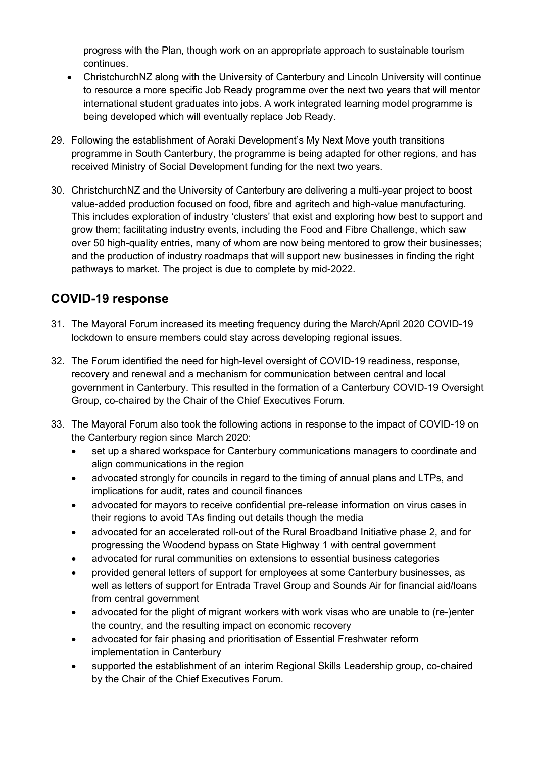progress with the Plan, though work on an appropriate approach to sustainable tourism continues.

- ChristchurchNZ along with the University of Canterbury and Lincoln University will continue to resource a more specific Job Ready programme over the next two years that will mentor international student graduates into jobs. A work integrated learning model programme is being developed which will eventually replace Job Ready.
- 29. Following the establishment of Aoraki Development's My Next Move youth transitions programme in South Canterbury, the programme is being adapted for other regions, and has received Ministry of Social Development funding for the next two years.
- 30. ChristchurchNZ and the University of Canterbury are delivering a multi-year project to boost value-added production focused on food, fibre and agritech and high-value manufacturing. This includes exploration of industry 'clusters' that exist and exploring how best to support and grow them; facilitating industry events, including the Food and Fibre Challenge, which saw over 50 high-quality entries, many of whom are now being mentored to grow their businesses; and the production of industry roadmaps that will support new businesses in finding the right pathways to market. The project is due to complete by mid-2022.

# **COVID-19 response**

- 31. The Mayoral Forum increased its meeting frequency during the March/April 2020 COVID-19 lockdown to ensure members could stay across developing regional issues.
- 32. The Forum identified the need for high-level oversight of COVID-19 readiness, response, recovery and renewal and a mechanism for communication between central and local government in Canterbury. This resulted in the formation of a Canterbury COVID-19 Oversight Group, co-chaired by the Chair of the Chief Executives Forum.
- 33. The Mayoral Forum also took the following actions in response to the impact of COVID-19 on the Canterbury region since March 2020:
	- set up a shared workspace for Canterbury communications managers to coordinate and align communications in the region
	- advocated strongly for councils in regard to the timing of annual plans and LTPs, and implications for audit, rates and council finances
	- advocated for mayors to receive confidential pre-release information on virus cases in their regions to avoid TAs finding out details though the media
	- advocated for an accelerated roll-out of the Rural Broadband Initiative phase 2, and for progressing the Woodend bypass on State Highway 1 with central government
	- advocated for rural communities on extensions to essential business categories
	- provided general letters of support for employees at some Canterbury businesses, as well as letters of support for Entrada Travel Group and Sounds Air for financial aid/loans from central government
	- advocated for the plight of migrant workers with work visas who are unable to (re-)enter the country, and the resulting impact on economic recovery
	- advocated for fair phasing and prioritisation of Essential Freshwater reform implementation in Canterbury
	- supported the establishment of an interim Regional Skills Leadership group, co-chaired by the Chair of the Chief Executives Forum.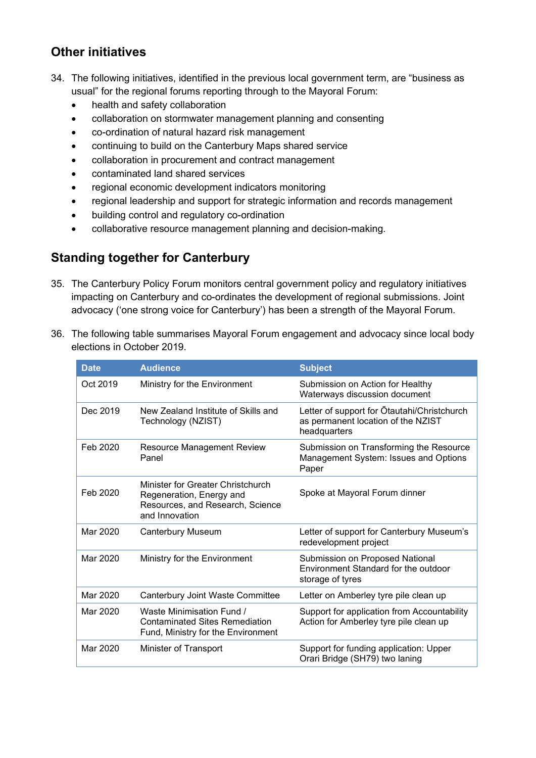## **Other initiatives**

- 34. The following initiatives, identified in the previous local government term, are "business as usual" for the regional forums reporting through to the Mayoral Forum:
	- health and safety collaboration
	- collaboration on stormwater management planning and consenting
	- co-ordination of natural hazard risk management
	- continuing to build on the Canterbury Maps shared service
	- collaboration in procurement and contract management
	- contaminated land shared services
	- regional economic development indicators monitoring
	- regional leadership and support for strategic information and records management
	- building control and regulatory co-ordination
	- collaborative resource management planning and decision-making.

## **Standing together for Canterbury**

- 35. The Canterbury Policy Forum monitors central government policy and regulatory initiatives impacting on Canterbury and co-ordinates the development of regional submissions. Joint advocacy ('one strong voice for Canterbury') has been a strength of the Mayoral Forum.
- 36. The following table summarises Mayoral Forum engagement and advocacy since local body elections in October 2019.

| <b>Date</b> | <b>Audience</b>                                                                                                     | <b>Subject</b>                                                                                    |
|-------------|---------------------------------------------------------------------------------------------------------------------|---------------------------------------------------------------------------------------------------|
| Oct 2019    | Ministry for the Environment                                                                                        | Submission on Action for Healthy<br>Waterways discussion document                                 |
| Dec 2019    | New Zealand Institute of Skills and<br>Technology (NZIST)                                                           | Letter of support for Otautahi/Christchurch<br>as permanent location of the NZIST<br>headquarters |
| Feb 2020    | <b>Resource Management Review</b><br>Panel                                                                          | Submission on Transforming the Resource<br>Management System: Issues and Options<br>Paper         |
| Feb 2020    | Minister for Greater Christchurch<br>Regeneration, Energy and<br>Resources, and Research, Science<br>and Innovation | Spoke at Mayoral Forum dinner                                                                     |
| Mar 2020    | <b>Canterbury Museum</b>                                                                                            | Letter of support for Canterbury Museum's<br>redevelopment project                                |
| Mar 2020    | Ministry for the Environment                                                                                        | Submission on Proposed National<br>Environment Standard for the outdoor<br>storage of tyres       |
| Mar 2020    | Canterbury Joint Waste Committee                                                                                    | Letter on Amberley tyre pile clean up                                                             |
| Mar 2020    | Waste Minimisation Fund /<br><b>Contaminated Sites Remediation</b><br>Fund, Ministry for the Environment            | Support for application from Accountability<br>Action for Amberley tyre pile clean up             |
| Mar 2020    | Minister of Transport                                                                                               | Support for funding application: Upper<br>Orari Bridge (SH79) two laning                          |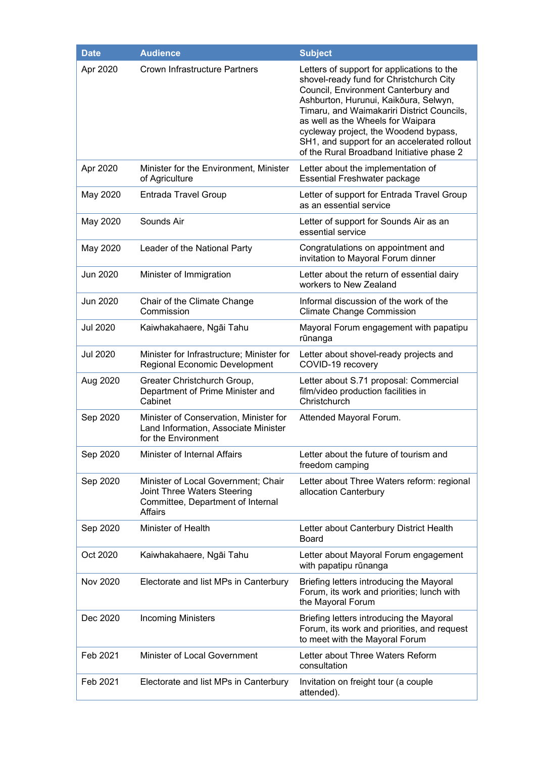| <b>Date</b>     | <b>Audience</b>                                                                                                    | <b>Subject</b>                                                                                                                                                                                                                                                                                                                                                                                |
|-----------------|--------------------------------------------------------------------------------------------------------------------|-----------------------------------------------------------------------------------------------------------------------------------------------------------------------------------------------------------------------------------------------------------------------------------------------------------------------------------------------------------------------------------------------|
| Apr 2020        | <b>Crown Infrastructure Partners</b>                                                                               | Letters of support for applications to the<br>shovel-ready fund for Christchurch City<br>Council, Environment Canterbury and<br>Ashburton, Hurunui, Kaikōura, Selwyn,<br>Timaru, and Waimakariri District Councils,<br>as well as the Wheels for Waipara<br>cycleway project, the Woodend bypass,<br>SH1, and support for an accelerated rollout<br>of the Rural Broadband Initiative phase 2 |
| Apr 2020        | Minister for the Environment, Minister<br>of Agriculture                                                           | Letter about the implementation of<br><b>Essential Freshwater package</b>                                                                                                                                                                                                                                                                                                                     |
| May 2020        | <b>Entrada Travel Group</b>                                                                                        | Letter of support for Entrada Travel Group<br>as an essential service                                                                                                                                                                                                                                                                                                                         |
| May 2020        | Sounds Air                                                                                                         | Letter of support for Sounds Air as an<br>essential service                                                                                                                                                                                                                                                                                                                                   |
| May 2020        | Leader of the National Party                                                                                       | Congratulations on appointment and<br>invitation to Mayoral Forum dinner                                                                                                                                                                                                                                                                                                                      |
| Jun 2020        | Minister of Immigration                                                                                            | Letter about the return of essential dairy<br>workers to New Zealand                                                                                                                                                                                                                                                                                                                          |
| Jun 2020        | Chair of the Climate Change<br>Commission                                                                          | Informal discussion of the work of the<br><b>Climate Change Commission</b>                                                                                                                                                                                                                                                                                                                    |
| <b>Jul 2020</b> | Kaiwhakahaere, Ngāi Tahu                                                                                           | Mayoral Forum engagement with papatipu<br>rūnanga                                                                                                                                                                                                                                                                                                                                             |
| <b>Jul 2020</b> | Minister for Infrastructure; Minister for<br>Regional Economic Development                                         | Letter about shovel-ready projects and<br>COVID-19 recovery                                                                                                                                                                                                                                                                                                                                   |
| Aug 2020        | Greater Christchurch Group,<br>Department of Prime Minister and<br>Cabinet                                         | Letter about S.71 proposal: Commercial<br>film/video production facilities in<br>Christchurch                                                                                                                                                                                                                                                                                                 |
| Sep 2020        | Minister of Conservation, Minister for<br>Land Information, Associate Minister<br>for the Environment              | Attended Mayoral Forum.                                                                                                                                                                                                                                                                                                                                                                       |
| Sep 2020        | Minister of Internal Affairs                                                                                       | Letter about the future of tourism and<br>freedom camping                                                                                                                                                                                                                                                                                                                                     |
| Sep 2020        | Minister of Local Government; Chair<br>Joint Three Waters Steering<br>Committee, Department of Internal<br>Affairs | Letter about Three Waters reform: regional<br>allocation Canterbury                                                                                                                                                                                                                                                                                                                           |
| Sep 2020        | Minister of Health                                                                                                 | Letter about Canterbury District Health<br><b>Board</b>                                                                                                                                                                                                                                                                                                                                       |
| Oct 2020        | Kaiwhakahaere, Ngāi Tahu                                                                                           | Letter about Mayoral Forum engagement<br>with papatipu rūnanga                                                                                                                                                                                                                                                                                                                                |
| Nov 2020        | Electorate and list MPs in Canterbury                                                                              | Briefing letters introducing the Mayoral<br>Forum, its work and priorities; lunch with<br>the Mayoral Forum                                                                                                                                                                                                                                                                                   |
| Dec 2020        | <b>Incoming Ministers</b>                                                                                          | Briefing letters introducing the Mayoral<br>Forum, its work and priorities, and request<br>to meet with the Mayoral Forum                                                                                                                                                                                                                                                                     |
| Feb 2021        | Minister of Local Government                                                                                       | Letter about Three Waters Reform<br>consultation                                                                                                                                                                                                                                                                                                                                              |
| Feb 2021        | Electorate and list MPs in Canterbury                                                                              | Invitation on freight tour (a couple<br>attended).                                                                                                                                                                                                                                                                                                                                            |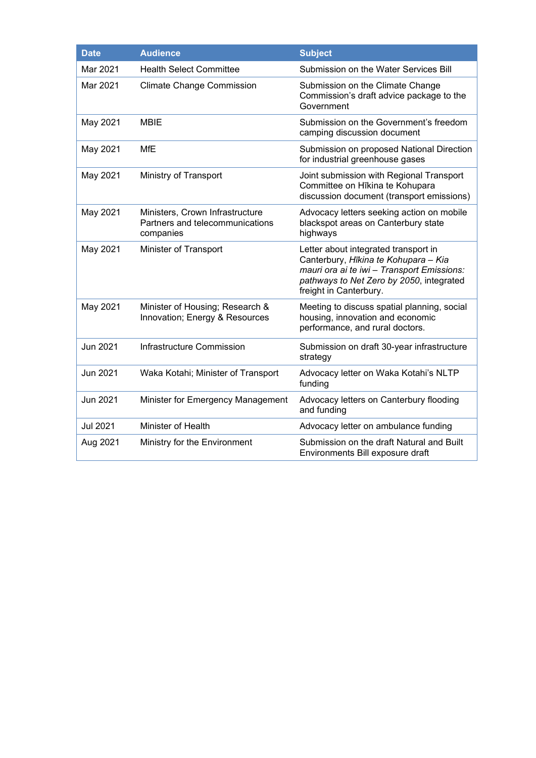| <b>Date</b> | <b>Audience</b>                                                                 | <b>Subject</b>                                                                                                                                                                                   |
|-------------|---------------------------------------------------------------------------------|--------------------------------------------------------------------------------------------------------------------------------------------------------------------------------------------------|
| Mar 2021    | <b>Health Select Committee</b>                                                  | Submission on the Water Services Bill                                                                                                                                                            |
| Mar 2021    | <b>Climate Change Commission</b>                                                | Submission on the Climate Change<br>Commission's draft advice package to the<br>Government                                                                                                       |
| May 2021    | <b>MBIE</b>                                                                     | Submission on the Government's freedom<br>camping discussion document                                                                                                                            |
| May 2021    | <b>MfE</b>                                                                      | Submission on proposed National Direction<br>for industrial greenhouse gases                                                                                                                     |
| May 2021    | Ministry of Transport                                                           | Joint submission with Regional Transport<br>Committee on Hīkina te Kohupara<br>discussion document (transport emissions)                                                                         |
| May 2021    | Ministers, Crown Infrastructure<br>Partners and telecommunications<br>companies | Advocacy letters seeking action on mobile<br>blackspot areas on Canterbury state<br>highways                                                                                                     |
| May 2021    | Minister of Transport                                                           | Letter about integrated transport in<br>Canterbury, Hīkina te Kohupara - Kia<br>mauri ora ai te iwi - Transport Emissions:<br>pathways to Net Zero by 2050, integrated<br>freight in Canterbury. |
| May 2021    | Minister of Housing; Research &<br>Innovation; Energy & Resources               | Meeting to discuss spatial planning, social<br>housing, innovation and economic<br>performance, and rural doctors.                                                                               |
| Jun 2021    | Infrastructure Commission                                                       | Submission on draft 30-year infrastructure<br>strategy                                                                                                                                           |
| Jun 2021    | Waka Kotahi; Minister of Transport                                              | Advocacy letter on Waka Kotahi's NLTP<br>funding                                                                                                                                                 |
| Jun 2021    | Minister for Emergency Management                                               | Advocacy letters on Canterbury flooding<br>and funding                                                                                                                                           |
| Jul 2021    | Minister of Health                                                              | Advocacy letter on ambulance funding                                                                                                                                                             |
| Aug 2021    | Ministry for the Environment                                                    | Submission on the draft Natural and Built<br>Environments Bill exposure draft                                                                                                                    |